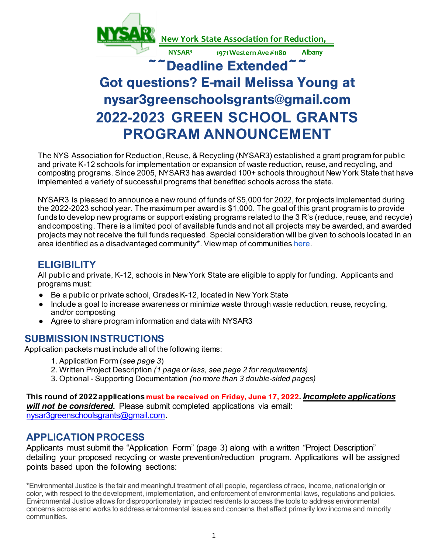

# Got questions? E-mail Melissa Young at nysar3greenschoolsgrants@gmail.com **2022-2023 GREEN SCHOOL GRANTS PROGRAM ANNOUNCEMENT**

The NYS Association for Reduction, Reuse, & Recycling (NYSAR3) established a grant program for public and private K-12 schools for implementation or expansion of waste reduction, reuse, and recycling, and composting programs. Since 2005, NYSAR3 has awarded 100+ schools throughout New York State that have implemented a variety of successful programs that benefited schools across the state.

NYSAR3 is pleased to announce a new round of funds of \$5,000 for 2022, for projects implemented during the 2022-2023 school year. The maximum per award is \$1,000. The goal of this grant program is to provide funds to develop new programs or support existing programs related [to the](https://climate.ny.gov/Our-Climate-Act/Disadvantaged-Communities-Criteria/Disadvantaged-Communities-Map) 3 R's (reduce, reuse, and recycle) and composting. There is a limited pool of available funds and not all projects may be awarded, and awarded projects may not receive the full funds requested. Special consideration will be given to schools located in an area identified as a disadvantaged community\*. Viewmap of communities here.

# **ELIGIBILITY**

All public and private, K-12, schools in New York State are eligible to apply for funding. Applicants and programs must:

- Be a public or private school, Grades K-12, located in New York State
- Include a goal to increase awareness or minimize waste through waste reduction, reuse, recycling, and/or composting
- Agree to share program information and data with NYSAR3

# **SUBMISSION INSTRUCTIONS**

Application packets must include all of the following items:

- 1. Application Form (*see page 3*)
- 2. Written Project Description *(1 page or less, see page 2 for requirements)*
- 3. Optional Supporting Documentation *(no more than 3 double-sided pages)*

**[This round of 2022 applications](mailto:nysar3greenschoolsgrants@gmail.com)** must be received on Friday, June 17, 2022**.** *Incomplete applications will not be considered.* Please submit completed applications via email: nysar3greenschoolsgrants@gmail.com.

# **APPLICATION PROCESS**

Applicants must submit the "Application Form" (page 3) along with a written "Project Description" detailing your proposed recycling or waste prevention/reduction program. Applications will be assigned points based upon the following sections:

**\***Environmental Justice is the fair and meaningful treatment of all people, regardless of race, income, national origin or color, with respect to the development, implementation, and enforcement of environmental laws, regulations and policies. Environmental Justice allows for disproportionately impacted residents to access the tools to address environmental concerns across and works to address environmental issues and concerns that affect primarily low income and minority communities.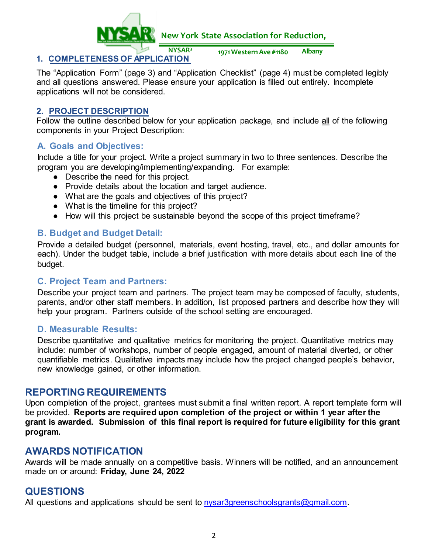

## **1. COMPLETENESS OF APPLICATION**

**NYSAR3 1971 Western Ave #1180 Albany**

 The "Application Form" (page 3) and "Application Checklist" (page 4) must be completed legibly and all questions answered. Please ensure your application is filled out entirely. Incomplete applications will not be considered.

#### **2. PROJECT DESCRIPTION**

Follow the outline described below for your application package, and include all of the following components in your Project Description:

#### **A. Goals and Objectives:**

Include a title for your project. Write a project summary in two to three sentences. Describe the program you are developing/implementing/expanding. For example:

- Describe the need for this project.
- Provide details about the location and target audience.
- What are the goals and objectives of this project?
- What is the timeline for this project?
- How will this project be sustainable beyond the scope of this project timeframe?

## **B. Budget and Budget Detail:**

Provide a detailed budget (personnel, materials, event hosting, travel, etc., and dollar amounts for each). Under the budget table, include a brief justification with more details about each line of the budget.

#### **C. Project Team and Partners:**

Describe your project team and partners. The project team may be composed of faculty, students, parents, and/or other staff members. In addition, list proposed partners and describe how they will help your program. Partners outside of the school setting are encouraged.

#### **D. Measurable Results:**

Describe quantitative and qualitative metrics for monitoring the project. Quantitative metrics may include: number of workshops, number of people engaged, amount of material diverted, or other quantifiable metrics. Qualitative impacts may include how the project changed people's behavior, new knowledge gained, or other information.

# **REPORTING REQUIREMENTS**

Upon completion of the project, grantees must submit a final written report. A report template form will be provided. **Reports are required upon completion of the project or within 1 year after the grant is awarded. Submission of this final report is required for future eligibility for this grant program.**

# **AWARDS NOTIFICATION**

Awards will be made annually on a competitive basis. Winners will be notified, and an announcement made on or around: **Friday, June 24, 2022** 

# **QUESTIONS**

All questions and applications should be sent to nysar3greenschoolsgrants@gmail.com.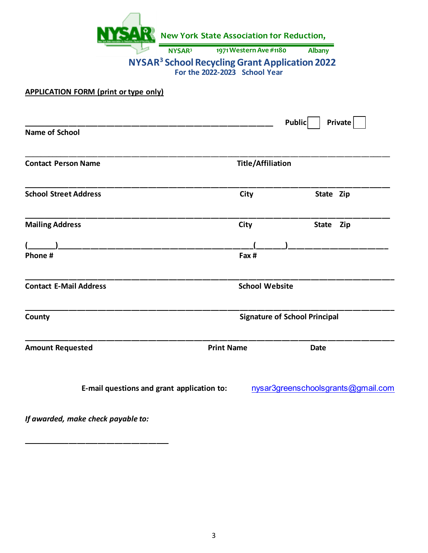|                                              | New York State Association for Reduction,                                                         |                                    |
|----------------------------------------------|---------------------------------------------------------------------------------------------------|------------------------------------|
|                                              | 1971 Western Ave #1180<br><b>NYSAR3</b>                                                           | <b>Albany</b>                      |
|                                              | <b>NYSAR<sup>3</sup> School Recycling Grant Application 2022</b><br>For the 2022-2023 School Year |                                    |
| <b>APPLICATION FORM (print or type only)</b> |                                                                                                   |                                    |
|                                              |                                                                                                   | <b>Public</b><br><b>Private</b>    |
| <b>Name of School</b>                        |                                                                                                   |                                    |
| <b>Contact Person Name</b>                   | <b>Title/Affiliation</b>                                                                          |                                    |
| <b>School Street Address</b>                 | City                                                                                              | State Zip                          |
| <b>Mailing Address</b>                       | City                                                                                              | State Zip                          |
|                                              |                                                                                                   |                                    |
| Phone #                                      | Fax #                                                                                             |                                    |
| <b>Contact E-Mail Address</b>                |                                                                                                   | <b>School Website</b>              |
| County                                       | <b>Signature of School Principal</b>                                                              |                                    |
| <b>Amount Requested</b>                      | <b>Print Name</b>                                                                                 | <b>Date</b>                        |
|                                              | E-mail questions and grant application to:                                                        | nysar3greenschoolsgrants@gmail.com |

*If awarded, make check payable to:*

**\_\_\_\_\_\_\_\_\_\_\_\_\_\_\_\_\_\_\_\_\_\_\_\_\_\_\_\_\_\_\_\_\_\_\_**